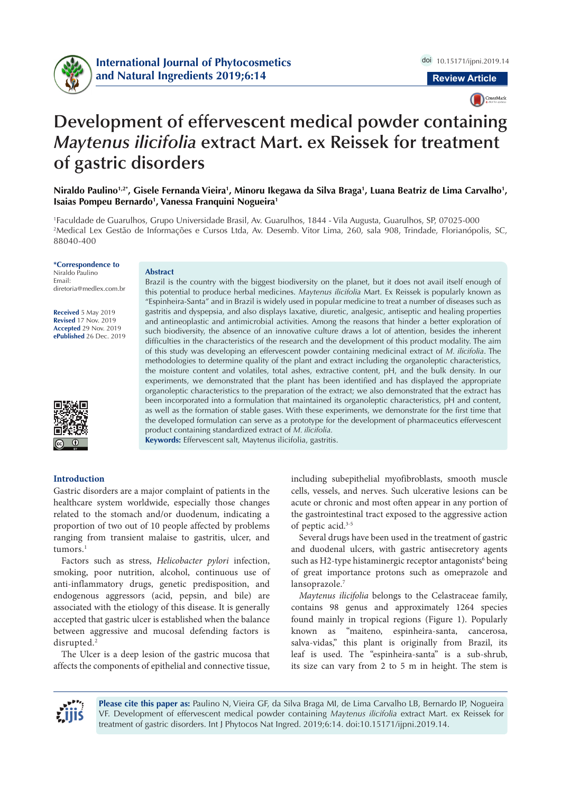

CrossMark

# **Development of effervescent medical powder containing**  *Maytenus ilicifolia* **extract Mart. ex Reissek for treatment of gastric disorders**

Niraldo Paulino½\*, Gisele Fernanda Vieira½, Minoru Ikegawa da Silva Braga½, Luana Beatriz de Lima Carvalho½, Isaias Pompeu Bernardo<sup>1</sup>, Vanessa Franquini Nogueira<sup>1</sup>

1 Faculdade de Guarulhos, Grupo Universidade Brasil, Av. Guarulhos, 1844 - Vila Augusta, Guarulhos, SP, 07025-000 2 Medical Lex Gestão de Informações e Cursos Ltda, Av. Desemb. Vitor Lima, 260, sala 908, Trindade, Florianópolis, SC, 88040-400

#### **\*Correspondence to** Niraldo Paulino Email: diretoria@medlex.com.br

**Received** 5 May 2019 **Revised** 17 Nov. 2019 **Accepted** 29 Nov. 2019 **ePublished** 26 Dec. 2019



### **Abstract**

Brazil is the country with the biggest biodiversity on the planet, but it does not avail itself enough of this potential to produce herbal medicines. *Maytenus ilicifolia* Mart. Ex Reissek is popularly known as "Espinheira-Santa" and in Brazil is widely used in popular medicine to treat a number of diseases such as gastritis and dyspepsia, and also displays laxative, diuretic, analgesic, antiseptic and healing properties and antineoplastic and antimicrobial activities. Among the reasons that hinder a better exploration of such biodiversity, the absence of an innovative culture draws a lot of attention, besides the inherent difficulties in the characteristics of the research and the development of this product modality. The aim of this study was developing an effervescent powder containing medicinal extract of *M. ilicifolia*. The methodologies to determine quality of the plant and extract including the organoleptic characteristics, the moisture content and volatiles, total ashes, extractive content, pH, and the bulk density. In our experiments, we demonstrated that the plant has been identified and has displayed the appropriate organoleptic characteristics to the preparation of the extract; we also demonstrated that the extract has been incorporated into a formulation that maintained its organoleptic characteristics, pH and content, as well as the formation of stable gases. With these experiments, we demonstrate for the first time that the developed formulation can serve as a prototype for the development of pharmaceutics effervescent product containing standardized extract of *M. ilicifolia.*

**Keywords:** Effervescent salt, Maytenus ilicifolia, gastritis.

## **Introduction**

Gastric disorders are a major complaint of patients in the healthcare system worldwide, especially those changes related to the stomach and/or duodenum, indicating a proportion of two out of 10 people affected by problems ranging from transient malaise to gastritis, ulcer, and tumors.<sup>1</sup>

Factors such as stress, *Helicobacter pylori* infection, smoking, poor nutrition, alcohol, continuous use of anti-inflammatory drugs, genetic predisposition, and endogenous aggressors (acid, pepsin, and bile) are associated with the etiology of this disease. It is generally accepted that gastric ulcer is established when the balance between aggressive and mucosal defending factors is disrupted.<sup>2</sup>

The Ulcer is a deep lesion of the gastric mucosa that affects the components of epithelial and connective tissue, including subepithelial myofibroblasts, smooth muscle cells, vessels, and nerves. Such ulcerative lesions can be acute or chronic and most often appear in any portion of the gastrointestinal tract exposed to the aggressive action of peptic acid.3-5

Several drugs have been used in the treatment of gastric and duodenal ulcers, with gastric antisecretory agents such as H2-type histaminergic receptor antagonists<sup>6</sup> being of great importance protons such as omeprazole and lansoprazole.7

*Maytenus ilicifolia* belongs to the Celastraceae family, contains 98 genus and approximately 1264 species found mainly in tropical regions (Figure 1). Popularly known as "maiteno, espinheira-santa, cancerosa, salva-vidas," this plant is originally from Brazil, its leaf is used. The "espinheira-santa" is a sub-shrub, its size can vary from 2 to 5 m in height. The stem is



**Please cite this paper as:** Paulino N, Vieira GF, da Silva Braga MI, de Lima Carvalho LB, Bernardo IP, Nogueira VF. Development of effervescent medical powder containing *Maytenus ilicifolia* extract Mart. ex Reissek for treatment of gastric disorders. Int J Phytocos Nat Ingred. 2019;6:14. doi:10.15171/ijpni.2019.14.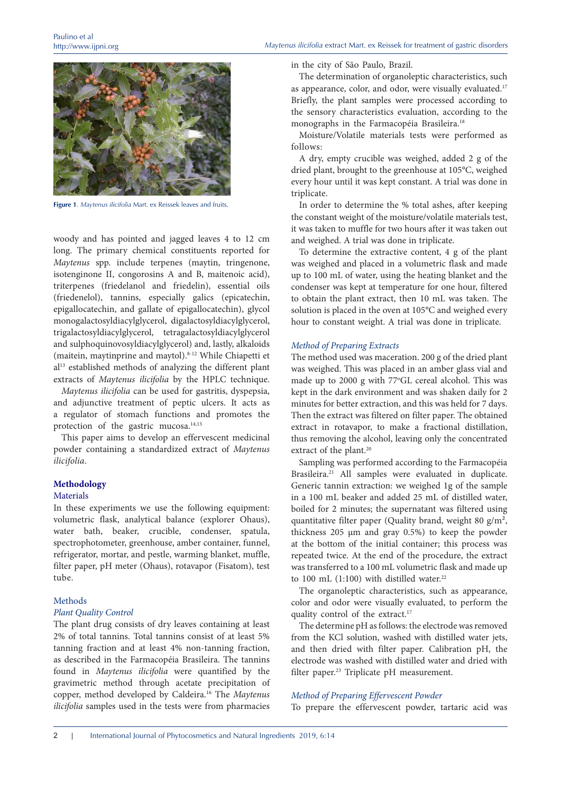

**Figure 1**. *Maytenus ilicifolia* Mart. ex Reissek leaves and fruits.

woody and has pointed and jagged leaves 4 to 12 cm long. The primary chemical constituents reported for *Maytenus* spp. include terpenes (maytin, tringenone, isotenginone II, congorosins A and B, maitenoic acid), triterpenes (friedelanol and friedelin), essential oils (friedenelol), tannins, especially galics (epicatechin, epigallocatechin, and gallate of epigallocatechin), glycol monogalactosyldiacylglycerol, digalactosyldiacylglycerol, trigalactosyldiacylglycerol, tetragalactosyldiacylglycerol and sulphoquinovosyldiacylglycerol) and, lastly, alkaloids (maitein, maytinprine and maytol).8-12 While Chiapetti et al<sup>13</sup> established methods of analyzing the different plant extracts of *Maytenus ilicifolia* by the HPLC technique.

*Maytenus ilicifolia* can be used for gastritis, dyspepsia, and adjunctive treatment of peptic ulcers. It acts as a regulator of stomach functions and promotes the protection of the gastric mucosa.<sup>14,15</sup>

This paper aims to develop an effervescent medicinal powder containing a standardized extract of *Maytenus ilicifolia*.

#### **Methodology**

#### Materials

In these experiments we use the following equipment: volumetric flask, analytical balance (explorer Ohaus), water bath, beaker, crucible, condenser, spatula, spectrophotometer, greenhouse, amber container, funnel, refrigerator, mortar, and pestle, warming blanket, muffle, filter paper, pH meter (Ohaus), rotavapor (Fisatom), test tube.

## Methods

## *Plant Quality Control*

The plant drug consists of dry leaves containing at least 2% of total tannins. Total tannins consist of at least 5% tanning fraction and at least 4% non-tanning fraction, as described in the Farmacopéia Brasileira. The tannins found in *Maytenus ilicifolia* were quantified by the gravimetric method through acetate precipitation of copper, method developed by Caldeira.16 The *Maytenus ilicifolia* samples used in the tests were from pharmacies in the city of São Paulo, Brazil.

The determination of organoleptic characteristics, such as appearance, color, and odor, were visually evaluated.17 Briefly, the plant samples were processed according to the sensory characteristics evaluation, according to the monographs in the Farmacopéia Brasileira.<sup>18</sup>

Moisture/Volatile materials tests were performed as follows:

A dry, empty crucible was weighed, added 2 g of the dried plant, brought to the greenhouse at 105°C, weighed every hour until it was kept constant. A trial was done in triplicate.

In order to determine the % total ashes, after keeping the constant weight of the moisture/volatile materials test, it was taken to muffle for two hours after it was taken out and weighed. A trial was done in triplicate.

To determine the extractive content, 4 g of the plant was weighed and placed in a volumetric flask and made up to 100 mL of water, using the heating blanket and the condenser was kept at temperature for one hour, filtered to obtain the plant extract, then 10 mL was taken. The solution is placed in the oven at 105°C and weighed every hour to constant weight. A trial was done in triplicate.

#### *Method of Preparing Extracts*

The method used was maceration. 200 g of the dried plant was weighed. This was placed in an amber glass vial and made up to 2000 g with 77°GL cereal alcohol. This was kept in the dark environment and was shaken daily for 2 minutes for better extraction, and this was held for 7 days. Then the extract was filtered on filter paper. The obtained extract in rotavapor, to make a fractional distillation, thus removing the alcohol, leaving only the concentrated extract of the plant.<sup>20</sup>

Sampling was performed according to the Farmacopéia Brasileira.<sup>21</sup> All samples were evaluated in duplicate. Generic tannin extraction: we weighed 1g of the sample in a 100 mL beaker and added 25 mL of distilled water, boiled for 2 minutes; the supernatant was filtered using quantitative filter paper (Quality brand, weight 80  $g/m^2$ , thickness 205 µm and gray 0.5%) to keep the powder at the bottom of the initial container; this process was repeated twice. At the end of the procedure, the extract was transferred to a 100 mL volumetric flask and made up to 100 mL  $(1:100)$  with distilled water.<sup>22</sup>

The organoleptic characteristics, such as appearance, color and odor were visually evaluated, to perform the quality control of the extract.<sup>17</sup>

The determine pH as follows: the electrode was removed from the KCl solution, washed with distilled water jets, and then dried with filter paper. Calibration pH, the electrode was washed with distilled water and dried with filter paper.<sup>23</sup> Triplicate pH measurement.

### *Method of Preparing Effervescent Powder*

To prepare the effervescent powder, tartaric acid was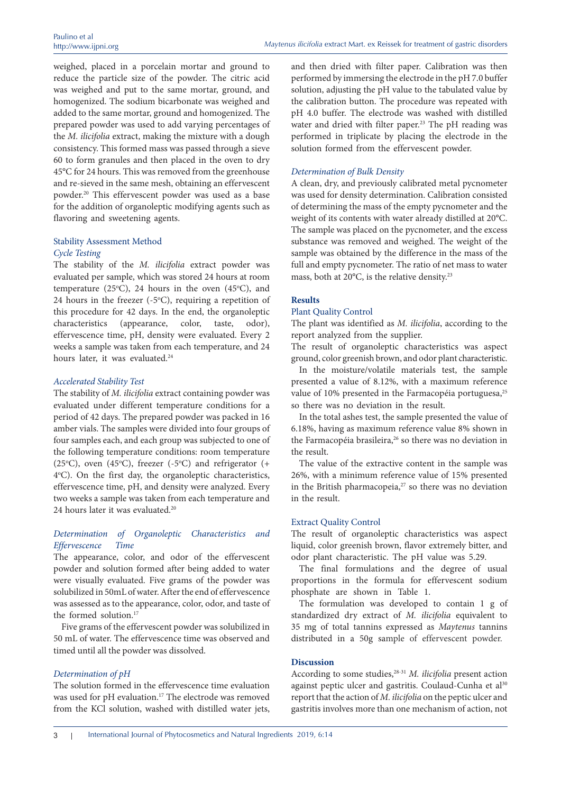weighed, placed in a porcelain mortar and ground to reduce the particle size of the powder. The citric acid was weighed and put to the same mortar, ground, and homogenized. The sodium bicarbonate was weighed and added to the same mortar, ground and homogenized. The prepared powder was used to add varying percentages of the *M. ilicifolia* extract, making the mixture with a dough consistency. This formed mass was passed through a sieve 60 to form granules and then placed in the oven to dry 45°C for 24 hours. This was removed from the greenhouse and re-sieved in the same mesh, obtaining an effervescent powder.20 This effervescent powder was used as a base for the addition of organoleptic modifying agents such as flavoring and sweetening agents.

# Stability Assessment Method *Cycle Testing*

The stability of the *M. ilicifolia* extract powder was evaluated per sample, which was stored 24 hours at room temperature (25 $\degree$ C), 24 hours in the oven (45 $\degree$ C), and 24 hours in the freezer  $(-5^{\circ}C)$ , requiring a repetition of this procedure for 42 days. In the end, the organoleptic characteristics (appearance, color, taste, odor), effervescence time, pH, density were evaluated. Every 2 weeks a sample was taken from each temperature, and 24 hours later, it was evaluated.<sup>24</sup>

#### *Accelerated Stability Test*

The stability of *M. ilicifolia* extract containing powder was evaluated under different temperature conditions for a period of 42 days. The prepared powder was packed in 16 amber vials. The samples were divided into four groups of four samples each, and each group was subjected to one of the following temperature conditions: room temperature (25 $\rm ^oC$ ), oven (45 $\rm ^oC$ ), freezer (-5 $\rm ^oC$ ) and refrigerator (+ 4°C). On the first day, the organoleptic characteristics, effervescence time, pH, and density were analyzed. Every two weeks a sample was taken from each temperature and 24 hours later it was evaluated.<sup>20</sup>

## *Determination of Organoleptic Characteristics and Effervescence Time*

The appearance, color, and odor of the effervescent powder and solution formed after being added to water were visually evaluated. Five grams of the powder was solubilized in 50mL of water. After the end of effervescence was assessed as to the appearance, color, odor, and taste of the formed solution.<sup>17</sup>

Five grams of the effervescent powder was solubilized in 50 mL of water. The effervescence time was observed and timed until all the powder was dissolved.

#### *Determination of pH*

The solution formed in the effervescence time evaluation was used for pH evaluation.<sup>17</sup> The electrode was removed from the KCl solution, washed with distilled water jets,

and then dried with filter paper. Calibration was then performed by immersing the electrode in the pH 7.0 buffer solution, adjusting the pH value to the tabulated value by the calibration button. The procedure was repeated with pH 4.0 buffer. The electrode was washed with distilled water and dried with filter paper.<sup>23</sup> The pH reading was performed in triplicate by placing the electrode in the solution formed from the effervescent powder.

#### *Determination of Bulk Density*

A clean, dry, and previously calibrated metal pycnometer was used for density determination. Calibration consisted of determining the mass of the empty pycnometer and the weight of its contents with water already distilled at 20°C. The sample was placed on the pycnometer, and the excess substance was removed and weighed. The weight of the sample was obtained by the difference in the mass of the full and empty pycnometer. The ratio of net mass to water mass, both at 20°C, is the relative density.<sup>23</sup>

#### **Results**

#### Plant Quality Control

The plant was identified as *M. ilicifolia*, according to the report analyzed from the supplier.

The result of organoleptic characteristics was aspect ground, color greenish brown, and odor plant characteristic.

In the moisture/volatile materials test, the sample presented a value of 8.12%, with a maximum reference value of 10% presented in the Farmacopéia portuguesa,<sup>25</sup> so there was no deviation in the result.

In the total ashes test, the sample presented the value of 6.18%, having as maximum reference value 8% shown in the Farmacopéia brasileira,<sup>26</sup> so there was no deviation in the result.

The value of the extractive content in the sample was 26%, with a minimum reference value of 15% presented in the British pharmacopeia,<sup>27</sup> so there was no deviation in the result.

## Extract Quality Control

The result of organoleptic characteristics was aspect liquid, color greenish brown, flavor extremely bitter, and odor plant characteristic. The pH value was 5.29.

The final formulations and the degree of usual proportions in the formula for effervescent sodium phosphate are shown in Table 1.

The formulation was developed to contain 1 g of standardized dry extract of *M. ilicifolia* equivalent to 35 mg of total tannins expressed as *Maytenus* tannins distributed in a 50g sample of effervescent powder.

## **Discussion**

According to some studies,28-31 *M. ilicifolia* present action against peptic ulcer and gastritis. Coulaud-Cunha et al<sup>30</sup> report that the action of *M. ilicifolia* on the peptic ulcer and gastritis involves more than one mechanism of action, not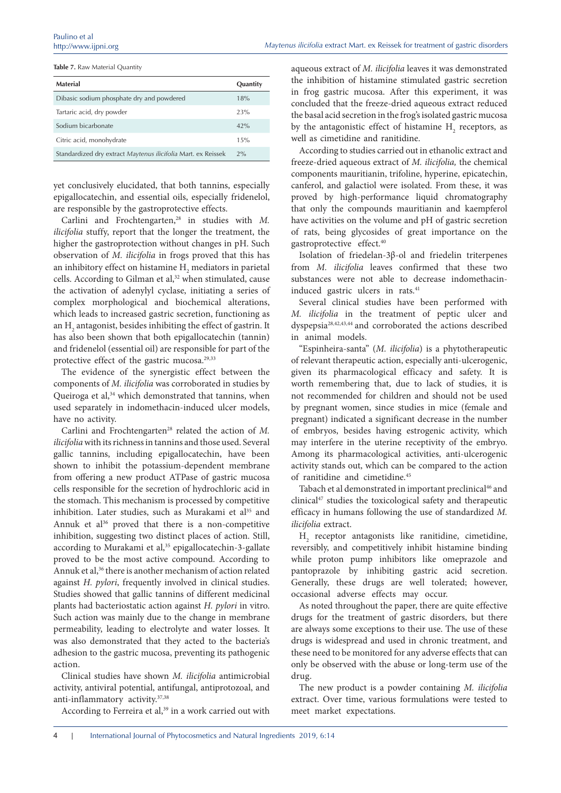**Table 7.** Raw Material Quantity

| Material                                                      | Quantity |
|---------------------------------------------------------------|----------|
| Dibasic sodium phosphate dry and powdered                     | 18%      |
| Tartaric acid, dry powder                                     | 23%      |
| Sodium bicarbonate                                            | 42%      |
| Citric acid, monohydrate                                      | 15%      |
| Standardized dry extract Maytenus ilicifolia Mart. ex Reissek | 2%       |

yet conclusively elucidated, that both tannins, especially epigallocatechin, and essential oils, especially fridenelol, are responsible by the gastroprotective effects.

Carlini and Frochtengarten,<sup>28</sup> in studies with *M*. *ilicifolia* stuffy, report that the longer the treatment, the higher the gastroprotection without changes in pH. Such observation of *M. ilicifolia* in frogs proved that this has an inhibitory effect on histamine  $\mathrm{H}_{_2}$  mediators in parietal cells. According to Gilman et al,<sup>32</sup> when stimulated, cause the activation of adenylyl cyclase, initiating a series of complex morphological and biochemical alterations, which leads to increased gastric secretion, functioning as an  $\mathrm{H}_{\mathrm{2}}$  antagonist, besides inhibiting the effect of gastrin. It has also been shown that both epigallocatechin (tannin) and fridenelol (essential oil) are responsible for part of the protective effect of the gastric mucosa.<sup>29,33</sup>

The evidence of the synergistic effect between the components of *M. ilicifolia* was corroborated in studies by Queiroga et al,<sup>34</sup> which demonstrated that tannins, when used separately in indomethacin-induced ulcer models, have no activity.

Carlini and Frochtengarten<sup>28</sup> related the action of *M*. *ilicifolia* with its richness in tannins and those used. Several gallic tannins, including epigallocatechin, have been shown to inhibit the potassium-dependent membrane from offering a new product ATPase of gastric mucosa cells responsible for the secretion of hydrochloric acid in the stomach. This mechanism is processed by competitive inhibition. Later studies, such as Murakami et al<sup>35</sup> and Annuk et al<sup>36</sup> proved that there is a non-competitive inhibition, suggesting two distinct places of action. Still, according to Murakami et al,<sup>35</sup> epigallocatechin-3-gallate proved to be the most active compound. According to Annuk et al,<sup>36</sup> there is another mechanism of action related against *H. pylori*, frequently involved in clinical studies. Studies showed that gallic tannins of different medicinal plants had bacteriostatic action against *H. pylori* in vitro. Such action was mainly due to the change in membrane permeability, leading to electrolyte and water losses. It was also demonstrated that they acted to the bacteria's adhesion to the gastric mucosa, preventing its pathogenic action.

Clinical studies have shown *M. ilicifolia* antimicrobial activity, antiviral potential, antifungal, antiprotozoal, and anti-inflammatory activity.37,38

According to Ferreira et al,<sup>39</sup> in a work carried out with

aqueous extract of *M. ilicifolia* leaves it was demonstrated the inhibition of histamine stimulated gastric secretion in frog gastric mucosa. After this experiment, it was concluded that the freeze-dried aqueous extract reduced the basal acid secretion in the frog's isolated gastric mucosa by the antagonistic effect of histamine  $H<sub>2</sub>$  receptors, as well as cimetidine and ranitidine.

According to studies carried out in ethanolic extract and freeze-dried aqueous extract of *M. ilicifolia,* the chemical components mauritianin, trifoline, hyperine, epicatechin, canferol, and galactiol were isolated. From these, it was proved by high-performance liquid chromatography that only the compounds mauritianin and kaempferol have activities on the volume and pH of gastric secretion of rats, being glycosides of great importance on the gastroprotective effect.40

Isolation of friedelan-3β-ol and friedelin triterpenes from *M. ilicifolia* leaves confirmed that these two substances were not able to decrease indomethacininduced gastric ulcers in rats.<sup>41</sup>

Several clinical studies have been performed with *M. ilicifolia* in the treatment of peptic ulcer and dyspepsia28,42,43,44 and corroborated the actions described in animal models.

"Espinheira-santa" (*M. ilicifolia*) is a phytotherapeutic of relevant therapeutic action, especially anti-ulcerogenic, given its pharmacological efficacy and safety. It is worth remembering that, due to lack of studies, it is not recommended for children and should not be used by pregnant women, since studies in mice (female and pregnant) indicated a significant decrease in the number of embryos, besides having estrogenic activity, which may interfere in the uterine receptivity of the embryo. Among its pharmacological activities, anti-ulcerogenic activity stands out, which can be compared to the action of ranitidine and cimetidine.45

Tabach et al demonstrated in important preclinical<sup>46</sup> and clinical47 studies the toxicological safety and therapeutic efficacy in humans following the use of standardized *M. ilicifolia* extract.

 $\rm{H}_{2}$  receptor antagonists like ranitidine, cimetidine, reversibly, and competitively inhibit histamine binding while proton pump inhibitors like omeprazole and pantoprazole by inhibiting gastric acid secretion. Generally, these drugs are well tolerated; however, occasional adverse effects may occur.

As noted throughout the paper, there are quite effective drugs for the treatment of gastric disorders, but there are always some exceptions to their use. The use of these drugs is widespread and used in chronic treatment, and these need to be monitored for any adverse effects that can only be observed with the abuse or long-term use of the drug.

The new product is a powder containing *M. ilicifolia* extract. Over time, various formulations were tested to meet market expectations.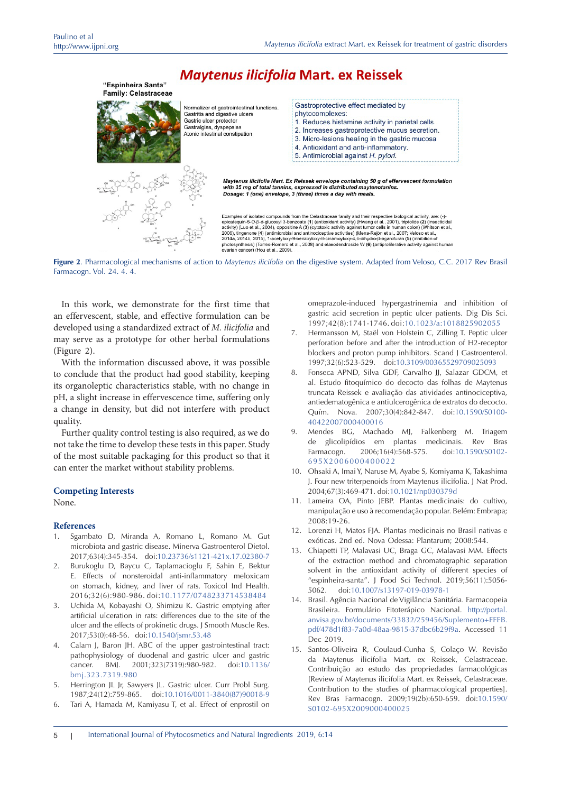

**Figure 2**. Pharmacological mechanisms of action to *Maytenus ilicifolia* on the digestive system. Adapted from Veloso, C.C. 2017 Rev Brasil Farmacogn. Vol. 24. 4. 4.

In this work, we demonstrate for the first time that an effervescent, stable, and effective formulation can be developed using a standardized extract of *M. ilicifolia* and may serve as a prototype for other herbal formulations (Figure 2).

With the information discussed above, it was possible to conclude that the product had good stability, keeping its organoleptic characteristics stable, with no change in pH, a slight increase in effervescence time, suffering only a change in density, but did not interfere with product quality.

Further quality control testing is also required, as we do not take the time to develop these tests in this paper. Study of the most suitable packaging for this product so that it can enter the market without stability problems.

#### **Competing Interests**

None.

#### **References**

- Sgambato D, Miranda A, Romano L, Romano M. Gut microbiota and gastric disease. Minerva Gastroenterol Dietol. 2017;63(4):345-354. doi[:10.23736/s1121-421x.17.02380-7](https://doi.org/10.23736/s1121-421x.17.02380-7)
- 2. Burukoglu D, Baycu C, Taplamacioglu F, Sahin E, Bektur E. Effects of nonsteroidal anti-inflammatory meloxicam on stomach, kidney, and liver of rats. Toxicol Ind Health. 2016;32(6):980-986. doi:[10.1177/0748233714538484](https://doi.org/10.1177/0748233714538484)
- 3. Uchida M, Kobayashi O, Shimizu K. Gastric emptying after artificial ulceration in rats: differences due to the site of the ulcer and the effects of prokinetic drugs. J Smooth Muscle Res. 2017;53(0):48-56. doi:[10.1540/jsmr.53.48](https://doi.org/10.1540/jsmr.53.48)
- 4. Calam J, Baron JH. ABC of the upper gastrointestinal tract: pathophysiology of duodenal and gastric ulcer and gastric cancer. BMJ. 2001;323(7319):980-982. doi[:10.1136/](https://doi.org/10.1136/bmj.323.7319.980) [bmj.323.7319.980](https://doi.org/10.1136/bmj.323.7319.980)
- 5. Herrington JL Jr, Sawyers JL. Gastric ulcer. Curr Probl Surg. 1987;24(12):759-865. doi[:10.1016/0011-3840\(87\)90018-9](https://doi.org/10.1016/0011-3840(87)90018-9)
- 6. Tari A, Hamada M, Kamiyasu T, et al. Effect of enprostil on

omeprazole-induced hypergastrinemia and inhibition of gastric acid secretion in peptic ulcer patients. Dig Dis Sci. 1997;42(8):1741-1746. doi:[10.1023/a:1018825902055](https://doi.org/10.1023/a:1018825902055)

- 7. Hermansson M, Staël von Holstein C, Zilling T. Peptic ulcer perforation before and after the introduction of H2-receptor blockers and proton pump inhibitors. Scand J Gastroenterol. 1997;32(6):523-529. doi[:10.3109/00365529709025093](https://doi.org/10.3109/00365529709025093)
- 8. Fonseca APND, Silva GDF, Carvalho JJ, Salazar GDCM, et al. Estudo fitoquímico do decocto das folhas de Maytenus truncata Reissek e avaliação das atividades antinociceptiva, antiedematogênica e antiulcerogênica de extratos do decocto. Quím. Nova. 2007;30(4):842-847. doi:[10.1590/S0100-](https://doi.org/10.1590/S0100-40422007000400016) [40422007000400016](https://doi.org/10.1590/S0100-40422007000400016)
- 9. Mendes BG, Machado MJ, Falkenberg M. Triagem de glicolipídios em plantas medicinais. Rev Bras Farmacogn. 2006;16(4):568-575. doi:[10.1590/S0102-](https://doi.org/10.1590/S0102-695X2006000400022) [695X2006000400022](https://doi.org/10.1590/S0102-695X2006000400022)
- 10. Ohsaki A, Imai Y, Naruse M, Ayabe S, Komiyama K, Takashima J. Four new triterpenoids from Maytenus ilicifolia. J Nat Prod. 2004;67(3):469-471. doi:[10.1021/np030379d](https://doi.org/10.1021/np030379d)
- 11. Lameira OA, Pinto JEBP. Plantas medicinais: do cultivo, manipulação e uso à recomendação popular. Belém: Embrapa; 2008:19-26.
- 12. Lorenzi H, Matos FJA. Plantas medicinais no Brasil nativas e exóticas. 2nd ed. Nova Odessa: Plantarum; 2008:544.
- 13. Chiapetti TP, Malavasi UC, Braga GC, Malavasi MM. Effects of the extraction method and chromatographic separation solvent in the antioxidant activity of different species of "espinheira-santa". J Food Sci Technol. 2019;56(11):5056- 5062. doi[:10.1007/s13197-019-03978-1](https://doi.org/10.1007/s13197-019-03978-1)
- 14. Brasil. Agência Nacional de Vigilância Sanitária. Farmacopeia Brasileira. Formulário Fitoterápico Nacional. [http://portal.](http://portal.anvisa.gov.br/documents/33832/259456/Suplemento+FFFB.pdf/478d1f83-7a0d-48aa-9815-37dbc6b29f9a) [anvisa.gov.br/documents/33832/259456/Suplemento+FFFB.](http://portal.anvisa.gov.br/documents/33832/259456/Suplemento+FFFB.pdf/478d1f83-7a0d-48aa-9815-37dbc6b29f9a) [pdf/478d1f83-7a0d-48aa-9815-37dbc6b29f9a.](http://portal.anvisa.gov.br/documents/33832/259456/Suplemento+FFFB.pdf/478d1f83-7a0d-48aa-9815-37dbc6b29f9a) Accessed 11 Dec 2019.
- 15. Santos-Oliveira R, Coulaud-Cunha S, Colaço W. Revisão da Maytenus ilicifolia Mart. ex Reissek, Celastraceae. Contribuição ao estudo das propriedades farmacológicas [Review of Maytenus ilicifolia Mart. ex Reissek, Celastraceae. Contribution to the studies of pharmacological properties]. Rev Bras Farmacogn. 2009;19(2b):650-659. doi[:10.1590/](https://doi.org/10.1590/S0102-695X2009000400025) [S0102-695X2009000400025](https://doi.org/10.1590/S0102-695X2009000400025)